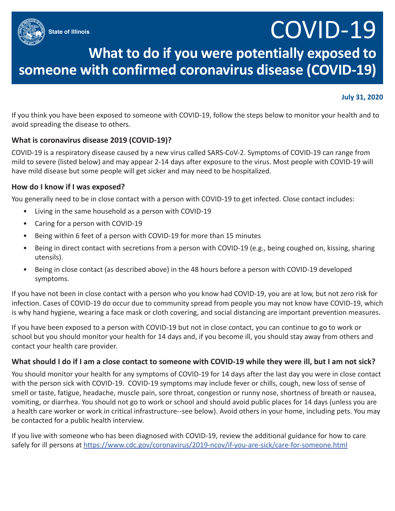**State of Illinois**

# COVID-19

## **What to do if you were potentially exposed to someone with confirmed coronavirus disease (COVID-19)**

### **July 31, 2020**

If you think you have been exposed to someone with COVID-19, follow the steps below to monitor your health and to avoid spreading the disease to others.

### **What is coronavirus disease 2019 (COVID-19)?**

COVID-19 is a respiratory disease caused by a new virus called SARS-CoV-2. Symptoms of COVID-19 can range from mild to severe (listed below) and may appear 2-14 days after exposure to the virus. Most people with COVID-19 will have mild disease but some people will get sicker and may need to be hospitalized.

#### **How do I know if I was exposed?**

You generally need to be in close contact with a person with COVID-19 to get infected. Close contact includes:

- Living in the same household as a person with COVID-19
- Caring for a person with COVID-19
- Being within 6 feet of a person with COVID-19 for more than 15 minutes
- Being in direct contact with secretions from a person with COVID-19 (e.g., being coughed on, kissing, sharing utensils).
- Being in close contact (as described above) in the 48 hours before a person with COVID-19 developed symptoms.

If you have not been in close contact with a person who you know had COVID-19, you are at low, but not zero risk for infection. Cases of COVID-19 do occur due to community spread from people you may not know have COVID-19, which is why hand hygiene, wearing a face mask or cloth covering, and social distancing are important prevention measures.

If you have been exposed to a person with COVID-19 but not in close contact, you can continue to go to work or school but you should monitor your health for 14 days and, if you become ill, you should stay away from others and contact your health care provider.

#### **What should I do if I am a close contact to someone with COVID-19 while they were ill, but I am not sick?**

You should monitor your health for any symptoms of COVID-19 for 14 days after the last day you were in close contact with the person sick with COVID-19. COVID-19 symptoms may include fever or chills, cough, new loss of sense of smell or taste, fatigue, headache, muscle pain, sore throat, congestion or runny nose, shortness of breath or nausea, vomiting, or diarrhea. You should not go to work or school and should avoid public places for 14 days (unless you are a health care worker or work in critical infrastructure--see below). Avoid others in your home, including pets. You may be contacted for a public health interview.

If you live with someone who has been diagnosed with COVID-19, review the additional guidance for how to care safely for ill persons at https://www.cdc.gov/coronavirus/2019-ncov/if-you-are-sick/care-for-someone.html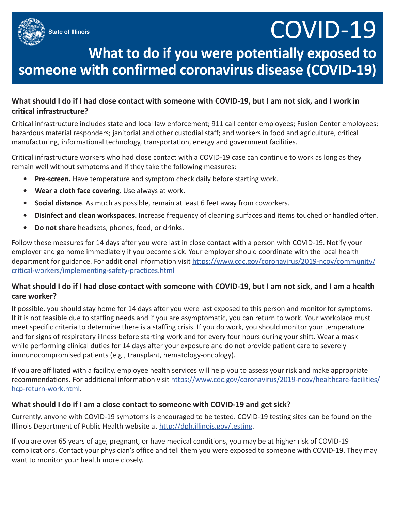# COVID-19

### **What to do if you were potentially exposed to someone with confirmed coronavirus disease (COVID-19)**

### **What should I do if I had close contact with someone with COVID-19, but I am not sick, and I work in critical infrastructure?**

Critical infrastructure includes state and local law enforcement; 911 call center employees; Fusion Center employees; hazardous material responders; janitorial and other custodial staff; and workers in food and agriculture, critical manufacturing, informational technology, transportation, energy and government facilities.

Critical infrastructure workers who had close contact with a COVID-19 case can continue to work as long as they remain well without symptoms and if they take the following measures:

- **• Pre-screen.** Have temperature and symptom check daily before starting work.
- **• Wear a cloth face covering**. Use always at work.
- **• Social distance**. As much as possible, remain at least 6 feet away from coworkers.
- **• Disinfect and clean workspaces.** Increase frequency of cleaning surfaces and items touched or handled often.
- **• Do not share** headsets, phones, food, or drinks.

Follow these measures for 14 days after you were last in close contact with a person with COVID-19. Notify your employer and go home immediately if you become sick. Your employer should coordinate with the local health department for guidance. For additional information visit https://www.cdc.gov/coronavirus/2019-ncov/community/ critical-workers/implementing-safety-practices.html

### **What should I do if I had close contact with someone with COVID-19, but I am not sick, and I am a health care worker?**

If possible, you should stay home for 14 days after you were last exposed to this person and monitor for symptoms. If it is not feasible due to staffing needs and if you are asymptomatic, you can return to work. Your workplace must meet specific criteria to determine there is a staffing crisis. If you do work, you should monitor your temperature and for signs of respiratory illness before starting work and for every four hours during your shift. Wear a mask while performing clinical duties for 14 days after your exposure and do not provide patient care to severely immunocompromised patients (e.g., transplant, hematology-oncology).

If you are affiliated with a facility, employee health services will help you to assess your risk and make appropriate recommendations. For additional information visit https://www.cdc.gov/coronavirus/2019-ncov/healthcare-facilities/ hcp-return-work.html.

### **What should I do if I am a close contact to someone with COVID-19 and get sick?**

Currently, anyone with COVID-19 symptoms is encouraged to be tested. COVID-19 testing sites can be found on the Illinois Department of Public Health website at http://dph.illinois.gov/testing.

If you are over 65 years of age, pregnant, or have medical conditions, you may be at higher risk of COVID-19 complications. Contact your physician's office and tell them you were exposed to someone with COVID-19. They may want to monitor your health more closely.